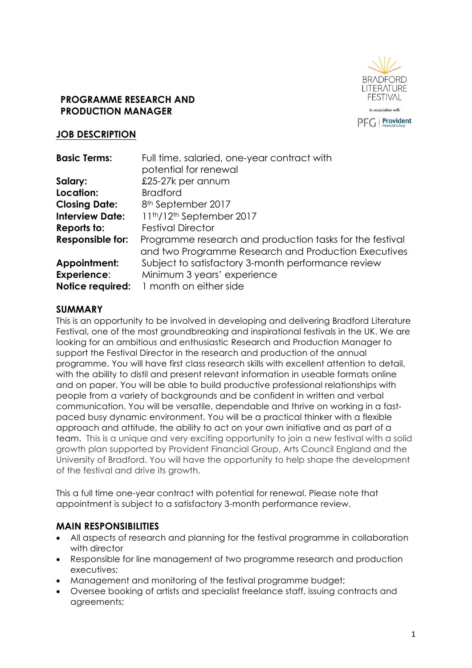

### **PROGRAMME RESEARCH AND PRODUCTION MANAGER**

## **JOB DESCRIPTION**

| <b>Basic Terms:</b>     | Full time, salaried, one-year contract with              |
|-------------------------|----------------------------------------------------------|
|                         | potential for renewal                                    |
| Salary:                 | £25-27k per annum                                        |
| Location:               | <b>Bradford</b>                                          |
| <b>Closing Date:</b>    | 8 <sup>th</sup> September 2017                           |
| <b>Interview Date:</b>  | 11 <sup>th</sup> /12 <sup>th</sup> September 2017        |
| Reports to:             | <b>Festival Director</b>                                 |
| <b>Responsible for:</b> | Programme research and production tasks for the festival |
|                         | and two Programme Research and Production Executives     |
| Appointment:            | Subject to satisfactory 3-month performance review       |
| <b>Experience:</b>      | Minimum 3 years' experience                              |
| Notice required:        | 1 month on either side                                   |

## **SUMMARY**

This is an opportunity to be involved in developing and delivering Bradford Literature Festival, one of the most groundbreaking and inspirational festivals in the UK. We are looking for an ambitious and enthusiastic Research and Production Manager to support the Festival Director in the research and production of the annual programme. You will have first class research skills with excellent attention to detail, with the ability to distil and present relevant information in useable formats online and on paper. You will be able to build productive professional relationships with people from a variety of backgrounds and be confident in written and verbal communication. You will be versatile, dependable and thrive on working in a fastpaced busy dynamic environment. You will be a practical thinker with a flexible approach and attitude, the ability to act on your own initiative and as part of a team. This is a unique and very exciting opportunity to join a new festival with a solid growth plan supported by Provident Financial Group, Arts Council England and the University of Bradford. You will have the opportunity to help shape the development of the festival and drive its growth.

This a full time one-year contract with potential for renewal. Please note that appointment is subject to a satisfactory 3-month performance review.

### **MAIN RESPONSIBILITIES**

- All aspects of research and planning for the festival programme in collaboration with director
- Responsible for line management of two programme research and production executives;
- Management and monitoring of the festival programme budget;
- Oversee booking of artists and specialist freelance staff, issuing contracts and agreements;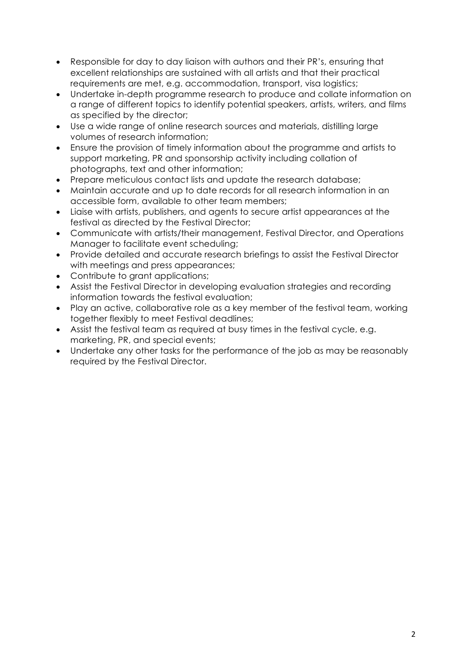- Responsible for day to day liaison with authors and their PR's, ensuring that excellent relationships are sustained with all artists and that their practical requirements are met, e.g. accommodation, transport, visa logistics;
- Undertake in-depth programme research to produce and collate information on a range of different topics to identify potential speakers, artists, writers, and films as specified by the director;
- Use a wide range of online research sources and materials, distilling large volumes of research information;
- Ensure the provision of timely information about the programme and artists to support marketing, PR and sponsorship activity including collation of photographs, text and other information;
- Prepare meticulous contact lists and update the research database;
- Maintain accurate and up to date records for all research information in an accessible form, available to other team members;
- Liaise with artists, publishers, and agents to secure artist appearances at the festival as directed by the Festival Director;
- Communicate with artists/their management, Festival Director, and Operations Manager to facilitate event scheduling;
- Provide detailed and accurate research briefings to assist the Festival Director with meetings and press appearances;
- Contribute to grant applications;
- Assist the Festival Director in developing evaluation strategies and recording information towards the festival evaluation;
- Play an active, collaborative role as a key member of the festival team, working together flexibly to meet Festival deadlines;
- Assist the festival team as required at busy times in the festival cycle, e.g. marketing, PR, and special events;
- Undertake any other tasks for the performance of the job as may be reasonably required by the Festival Director.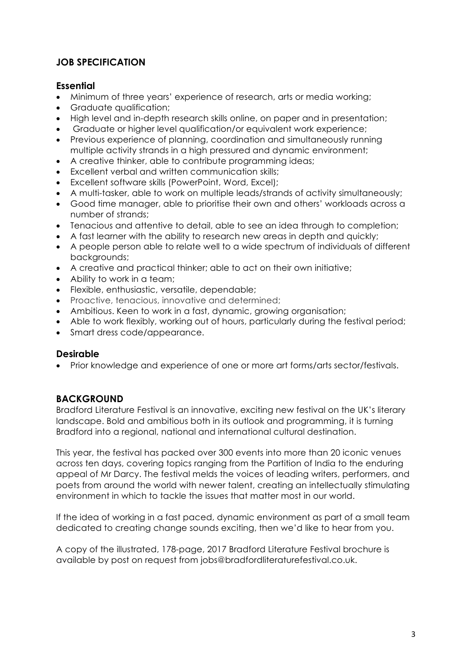# **JOB SPECIFICATION**

## **Essential**

- Minimum of three years' experience of research, arts or media working;
- Graduate qualification;
- High level and in-depth research skills online, on paper and in presentation;
- Graduate or higher level qualification/or equivalent work experience;
- Previous experience of planning, coordination and simultaneously running multiple activity strands in a high pressured and dynamic environment;
- A creative thinker, able to contribute programming ideas;
- Excellent verbal and written communication skills;
- Excellent software skills (PowerPoint, Word, Excel);
- A multi-tasker, able to work on multiple leads/strands of activity simultaneously;
- Good time manager, able to prioritise their own and others' workloads across a number of strands;
- Tenacious and attentive to detail, able to see an idea through to completion;
- A fast learner with the ability to research new areas in depth and quickly;
- A people person able to relate well to a wide spectrum of individuals of different backarounds;
- A creative and practical thinker; able to act on their own initiative;
- Ability to work in a team;
- Flexible, enthusiastic, versatile, dependable;
- Proactive, tenacious, innovative and determined;
- Ambitious. Keen to work in a fast, dynamic, growing organisation;
- Able to work flexibly, working out of hours, particularly during the festival period;
- Smart dress code/appearance.

### **Desirable**

• Prior knowledge and experience of one or more art forms/arts sector/festivals.

## **BACKGROUND**

Bradford Literature Festival is an innovative, exciting new festival on the UK's literary landscape. Bold and ambitious both in its outlook and programming, it is turning Bradford into a regional, national and international cultural destination.

This year, the festival has packed over 300 events into more than 20 iconic venues across ten days, covering topics ranging from the Partition of India to the enduring appeal of Mr Darcy. The festival melds the voices of leading writers, performers, and poets from around the world with newer talent, creating an intellectually stimulating environment in which to tackle the issues that matter most in our world.

If the idea of working in a fast paced, dynamic environment as part of a small team dedicated to creating change sounds exciting, then we'd like to hear from you.

A copy of the illustrated, 178-page, 2017 Bradford Literature Festival brochure is available by post on request from jobs@bradfordliteraturefestival.co.uk.